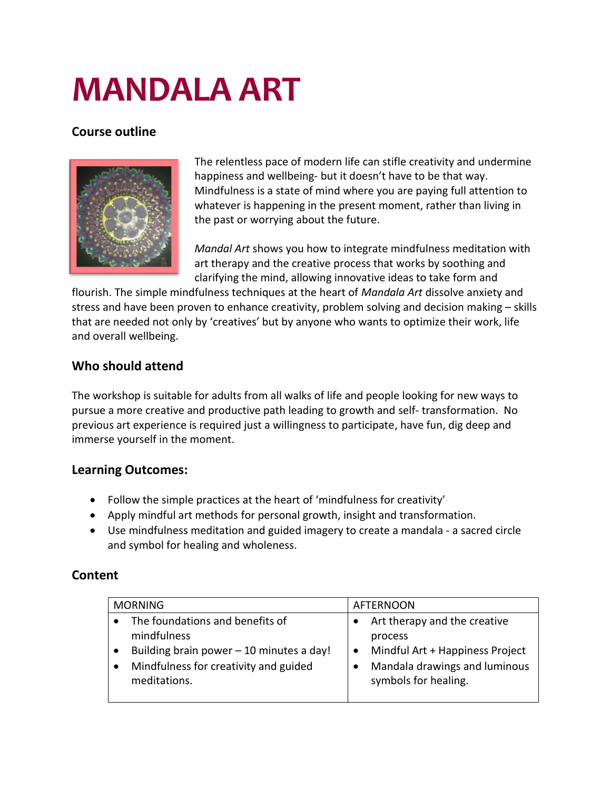# **MANDALA ART**

## **Course outline**



The relentless pace of modern life can stifle creativity and undermine happiness and wellbeing- but it doesn't have to be that way. Mindfulness is a state of mind where you are paying full attention to whatever is happening in the present moment, rather than living in the past or worrying about the future.

*Mandal Art* shows you how to integrate mindfulness meditation with art therapy and the creative process that works by soothing and clarifying the mind, allowing innovative ideas to take form and

flourish. The simple mindfulness techniques at the heart of *Mandala Art* dissolve anxiety and stress and have been proven to enhance creativity, problem solving and decision making – skills that are needed not only by 'creatives' but by anyone who wants to optimize their work, life and overall wellbeing.

# **Who should attend**

The workshop is suitable for adults from all walks of life and people looking for new ways to pursue a more creative and productive path leading to growth and self- transformation. No previous art experience is required just a willingness to participate, have fun, dig deep and immerse yourself in the moment.

#### **Learning Outcomes:**

- Follow the simple practices at the heart of 'mindfulness for creativity'
- Apply mindful art methods for personal growth, insight and transformation.
- Use mindfulness meditation and guided imagery to create a mandala a sacred circle and symbol for healing and wholeness.

## **Content**

| <b>MORNING</b>                           | <b>AFTERNOON</b>                |
|------------------------------------------|---------------------------------|
| The foundations and benefits of          | Art therapy and the creative    |
| mindfulness                              | process                         |
| Building brain power - 10 minutes a day! | Mindful Art + Happiness Project |
| Mindfulness for creativity and guided    | Mandala drawings and luminous   |
| meditations.                             | symbols for healing.            |